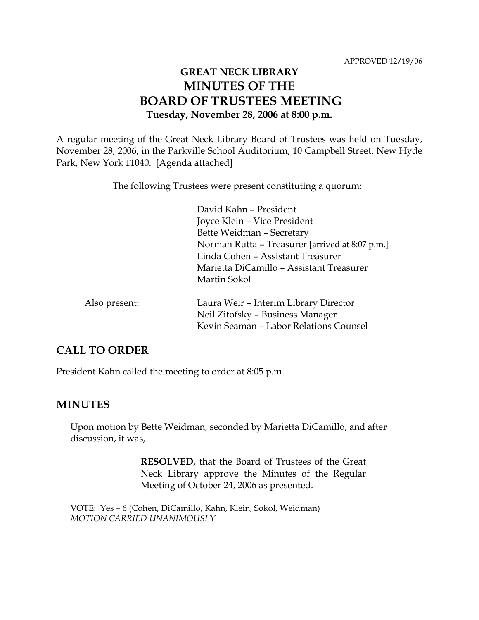# **GREAT NECK LIBRARY MINUTES OF THE BOARD OF TRUSTEES MEETING Tuesday, November 28, 2006 at 8:00 p.m.**

A regular meeting of the Great Neck Library Board of Trustees was held on Tuesday, November 28, 2006, in the Parkville School Auditorium, 10 Campbell Street, New Hyde Park, New York 11040. [Agenda attached]

The following Trustees were present constituting a quorum:

David Kahn – President Joyce Klein – Vice President Bette Weidman – Secretary Norman Rutta – Treasurer [arrived at 8:07 p.m.] Linda Cohen – Assistant Treasurer Marietta DiCamillo – Assistant Treasurer Martin Sokol

| Also present: | Laura Weir - Interim Library Director  |
|---------------|----------------------------------------|
|               | Neil Zitofsky – Business Manager       |
|               | Kevin Seaman - Labor Relations Counsel |

### **CALL TO ORDER**

President Kahn called the meeting to order at 8:05 p.m.

### **MINUTES**

Upon motion by Bette Weidman, seconded by Marietta DiCamillo, and after discussion, it was,

> **RESOLVED**, that the Board of Trustees of the Great Neck Library approve the Minutes of the Regular Meeting of October 24, 2006 as presented.

VOTE:Yes – 6 (Cohen, DiCamillo, Kahn, Klein, Sokol, Weidman) *MOTION CARRIED UNANIMOUSLY*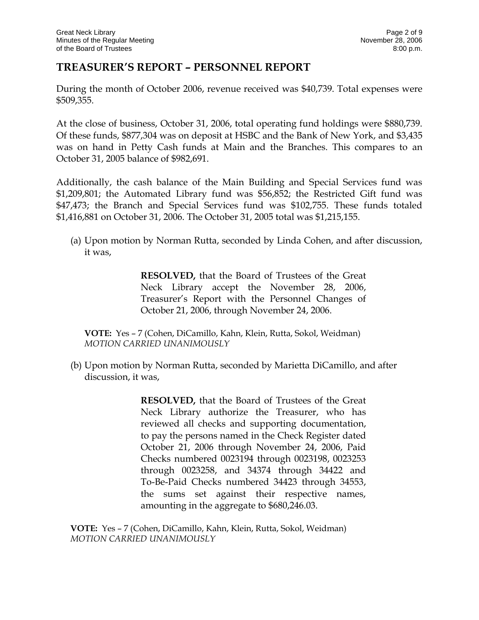## **TREASURER'S REPORT – PERSONNEL REPORT**

During the month of October 2006, revenue received was \$40,739. Total expenses were \$509,355.

At the close of business, October 31, 2006, total operating fund holdings were \$880,739. Of these funds, \$877,304 was on deposit at HSBC and the Bank of New York, and \$3,435 was on hand in Petty Cash funds at Main and the Branches. This compares to an October 31, 2005 balance of \$982,691.

Additionally, the cash balance of the Main Building and Special Services fund was \$1,209,801; the Automated Library fund was \$56,852; the Restricted Gift fund was \$47,473; the Branch and Special Services fund was \$102,755. These funds totaled \$1,416,881 on October 31, 2006. The October 31, 2005 total was \$1,215,155.

(a) Upon motion by Norman Rutta, seconded by Linda Cohen, and after discussion, it was,

> **RESOLVED,** that the Board of Trustees of the Great Neck Library accept the November 28, 2006, Treasurer's Report with the Personnel Changes of October 21, 2006, through November 24, 2006.

**VOTE:** Yes – 7 (Cohen, DiCamillo, Kahn, Klein, Rutta, Sokol, Weidman) *MOTION CARRIED UNANIMOUSLY*

(b) Upon motion by Norman Rutta, seconded by Marietta DiCamillo, and after discussion, it was,

> **RESOLVED,** that the Board of Trustees of the Great Neck Library authorize the Treasurer, who has reviewed all checks and supporting documentation, to pay the persons named in the Check Register dated October 21, 2006 through November 24, 2006, Paid Checks numbered 0023194 through 0023198, 0023253 through 0023258, and 34374 through 34422 and To-Be-Paid Checks numbered 34423 through 34553, the sums set against their respective names, amounting in the aggregate to \$680,246.03.

**VOTE:** Yes – 7 (Cohen, DiCamillo, Kahn, Klein, Rutta, Sokol, Weidman) *MOTION CARRIED UNANIMOUSLY*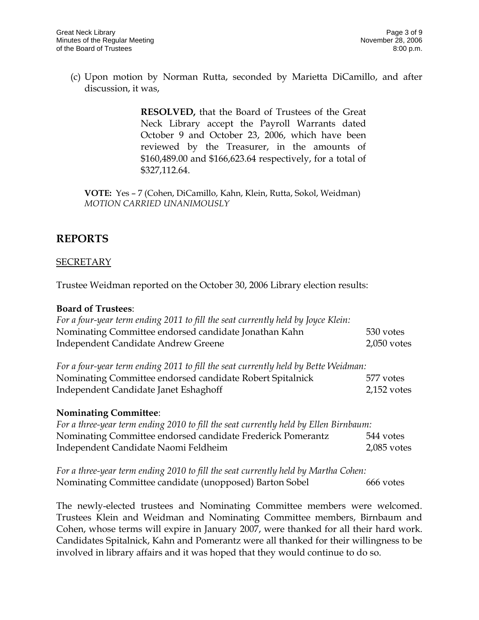(c) Upon motion by Norman Rutta, seconded by Marietta DiCamillo, and after discussion, it was,

> **RESOLVED,** that the Board of Trustees of the Great Neck Library accept the Payroll Warrants dated October 9 and October 23, 2006, which have been reviewed by the Treasurer, in the amounts of \$160,489.00 and \$166,623.64 respectively, for a total of \$327,112.64.

**VOTE:** Yes – 7 (Cohen, DiCamillo, Kahn, Klein, Rutta, Sokol, Weidman) *MOTION CARRIED UNANIMOUSLY*

## **REPORTS**

#### **SECRETARY**

Trustee Weidman reported on the October 30, 2006 Library election results:

#### **Board of Trustees**:

| For a four-year term ending 2011 to fill the seat currently held by Joyce Klein: |               |
|----------------------------------------------------------------------------------|---------------|
| Nominating Committee endorsed candidate Jonathan Kahn                            | 530 votes     |
| Independent Candidate Andrew Greene                                              | $2,050$ votes |

| For a four-year term ending 2011 to fill the seat currently held by Bette Weidman: |               |
|------------------------------------------------------------------------------------|---------------|
| Nominating Committee endorsed candidate Robert Spitalnick                          | 577 votes     |
| Independent Candidate Janet Eshaghoff                                              | $2,152$ votes |

#### **Nominating Committee**:

| For a three-year term ending 2010 to fill the seat currently held by Ellen Birnbaum: |               |
|--------------------------------------------------------------------------------------|---------------|
| Nominating Committee endorsed candidate Frederick Pomerantz                          | 544 votes     |
| Independent Candidate Naomi Feldheim                                                 | $2,085$ votes |

*For a three-year term ending 2010 to fill the seat currently held by Martha Cohen:* Nominating Committee candidate (unopposed) Barton Sobel 666 votes

The newly-elected trustees and Nominating Committee members were welcomed. Trustees Klein and Weidman and Nominating Committee members, Birnbaum and Cohen, whose terms will expire in January 2007, were thanked for all their hard work. Candidates Spitalnick, Kahn and Pomerantz were all thanked for their willingness to be involved in library affairs and it was hoped that they would continue to do so.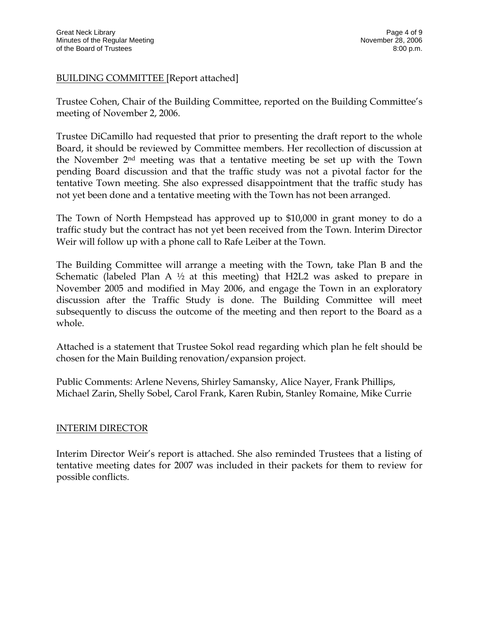### BUILDING COMMITTEE [Report attached]

Trustee Cohen, Chair of the Building Committee, reported on the Building Committee's meeting of November 2, 2006.

Trustee DiCamillo had requested that prior to presenting the draft report to the whole Board, it should be reviewed by Committee members. Her recollection of discussion at the November 2nd meeting was that a tentative meeting be set up with the Town pending Board discussion and that the traffic study was not a pivotal factor for the tentative Town meeting. She also expressed disappointment that the traffic study has not yet been done and a tentative meeting with the Town has not been arranged.

The Town of North Hempstead has approved up to \$10,000 in grant money to do a traffic study but the contract has not yet been received from the Town. Interim Director Weir will follow up with a phone call to Rafe Leiber at the Town.

The Building Committee will arrange a meeting with the Town, take Plan B and the Schematic (labeled Plan A  $\frac{1}{2}$  at this meeting) that H2L2 was asked to prepare in November 2005 and modified in May 2006, and engage the Town in an exploratory discussion after the Traffic Study is done. The Building Committee will meet subsequently to discuss the outcome of the meeting and then report to the Board as a whole.

Attached is a statement that Trustee Sokol read regarding which plan he felt should be chosen for the Main Building renovation/expansion project.

Public Comments: Arlene Nevens, Shirley Samansky, Alice Nayer, Frank Phillips, Michael Zarin, Shelly Sobel, Carol Frank, Karen Rubin, Stanley Romaine, Mike Currie

#### INTERIM DIRECTOR

Interim Director Weir's report is attached. She also reminded Trustees that a listing of tentative meeting dates for 2007 was included in their packets for them to review for possible conflicts.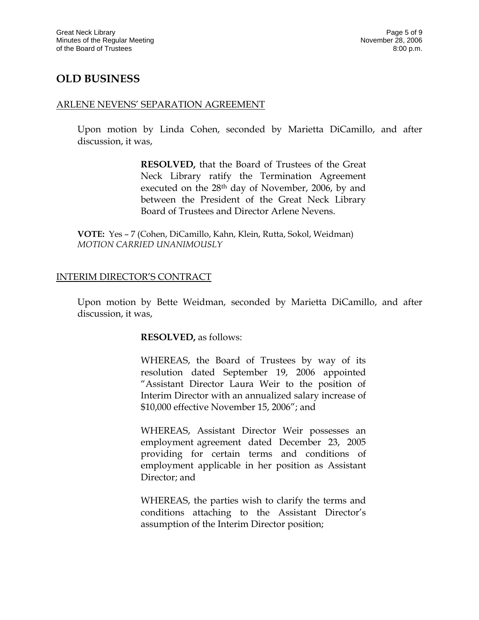## **OLD BUSINESS**

#### ARLENE NEVENS' SEPARATION AGREEMENT

Upon motion by Linda Cohen, seconded by Marietta DiCamillo, and after discussion, it was,

> **RESOLVED,** that the Board of Trustees of the Great Neck Library ratify the Termination Agreement executed on the 28th day of November, 2006, by and between the President of the Great Neck Library Board of Trustees and Director Arlene Nevens.

**VOTE:** Yes – 7 (Cohen, DiCamillo, Kahn, Klein, Rutta, Sokol, Weidman) *MOTION CARRIED UNANIMOUSLY*

#### INTERIM DIRECTOR'S CONTRACT

Upon motion by Bette Weidman, seconded by Marietta DiCamillo, and after discussion, it was,

#### **RESOLVED,** as follows:

WHEREAS, the Board of Trustees by way of its resolution dated September 19, 2006 appointed "Assistant Director Laura Weir to the position of Interim Director with an annualized salary increase of \$10,000 effective November 15, 2006"; and

WHEREAS, Assistant Director Weir possesses an employment agreement dated December 23, 2005 providing for certain terms and conditions of employment applicable in her position as Assistant Director; and

WHEREAS, the parties wish to clarify the terms and conditions attaching to the Assistant Director's assumption of the Interim Director position;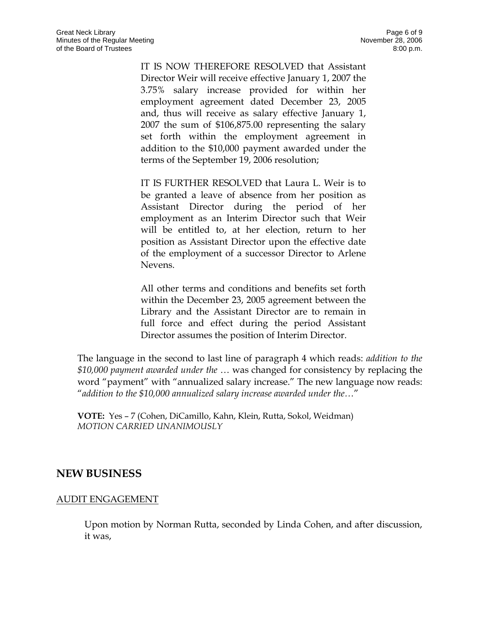IT IS NOW THEREFORE RESOLVED that Assistant Director Weir will receive effective January 1, 2007 the 3.75% salary increase provided for within her employment agreement dated December 23, 2005 and, thus will receive as salary effective January 1, 2007 the sum of \$106,875.00 representing the salary set forth within the employment agreement in addition to the \$10,000 payment awarded under the terms of the September 19, 2006 resolution;

IT IS FURTHER RESOLVED that Laura L. Weir is to be granted a leave of absence from her position as Assistant Director during the period of her employment as an Interim Director such that Weir will be entitled to, at her election, return to her position as Assistant Director upon the effective date of the employment of a successor Director to Arlene Nevens.

All other terms and conditions and benefits set forth within the December 23, 2005 agreement between the Library and the Assistant Director are to remain in full force and effect during the period Assistant Director assumes the position of Interim Director.

The language in the second to last line of paragraph 4 which reads: *addition to the \$10,000 payment awarded under the* … was changed for consistency by replacing the word "payment" with "annualized salary increase." The new language now reads: "*addition to the \$10,000 annualized salary increase awarded under the…*"

**VOTE:** Yes – 7 (Cohen, DiCamillo, Kahn, Klein, Rutta, Sokol, Weidman) *MOTION CARRIED UNANIMOUSLY*

### **NEW BUSINESS**

#### AUDIT ENGAGEMENT

Upon motion by Norman Rutta, seconded by Linda Cohen, and after discussion, it was,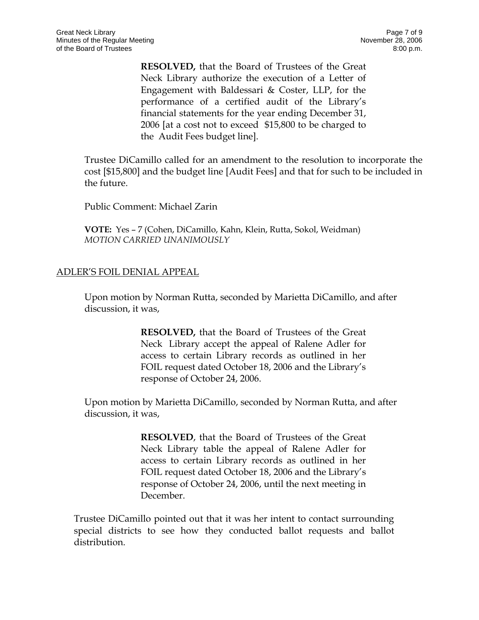**RESOLVED,** that the Board of Trustees of the Great Neck Library authorize the execution of a Letter of Engagement with Baldessari & Coster, LLP, for the performance of a certified audit of the Library's financial statements for the year ending December 31, 2006 [at a cost not to exceed \$15,800 to be charged to the Audit Fees budget line].

Trustee DiCamillo called for an amendment to the resolution to incorporate the cost [\$15,800] and the budget line [Audit Fees] and that for such to be included in the future.

Public Comment: Michael Zarin

**VOTE:** Yes – 7 (Cohen, DiCamillo, Kahn, Klein, Rutta, Sokol, Weidman) *MOTION CARRIED UNANIMOUSLY*

### ADLER'S FOIL DENIAL APPEAL

Upon motion by Norman Rutta, seconded by Marietta DiCamillo, and after discussion, it was,

> **RESOLVED,** that the Board of Trustees of the Great Neck Library accept the appeal of Ralene Adler for access to certain Library records as outlined in her FOIL request dated October 18, 2006 and the Library's response of October 24, 2006.

Upon motion by Marietta DiCamillo, seconded by Norman Rutta, and after discussion, it was,

> **RESOLVED**, that the Board of Trustees of the Great Neck Library table the appeal of Ralene Adler for access to certain Library records as outlined in her FOIL request dated October 18, 2006 and the Library's response of October 24, 2006, until the next meeting in December.

Trustee DiCamillo pointed out that it was her intent to contact surrounding special districts to see how they conducted ballot requests and ballot distribution.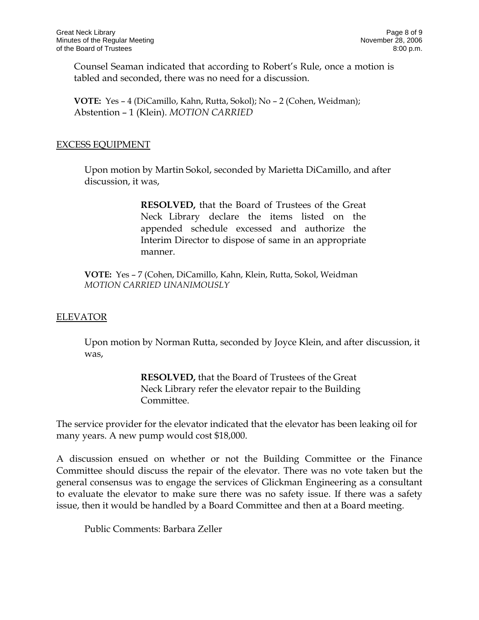Counsel Seaman indicated that according to Robert's Rule, once a motion is tabled and seconded, there was no need for a discussion.

**VOTE:** Yes – 4 (DiCamillo, Kahn, Rutta, Sokol); No – 2 (Cohen, Weidman); Abstention – 1 (Klein). *MOTION CARRIED* 

#### EXCESS EQUIPMENT

Upon motion by Martin Sokol, seconded by Marietta DiCamillo, and after discussion, it was,

> **RESOLVED,** that the Board of Trustees of the Great Neck Library declare the items listed on the appended schedule excessed and authorize the Interim Director to dispose of same in an appropriate manner.

**VOTE:** Yes – 7 (Cohen, DiCamillo, Kahn, Klein, Rutta, Sokol, Weidman *MOTION CARRIED UNANIMOUSLY*

#### ELEVATOR

Upon motion by Norman Rutta, seconded by Joyce Klein, and after discussion, it was,

> **RESOLVED,** that the Board of Trustees of the Great Neck Library refer the elevator repair to the Building Committee.

The service provider for the elevator indicated that the elevator has been leaking oil for many years. A new pump would cost \$18,000.

A discussion ensued on whether or not the Building Committee or the Finance Committee should discuss the repair of the elevator. There was no vote taken but the general consensus was to engage the services of Glickman Engineering as a consultant to evaluate the elevator to make sure there was no safety issue. If there was a safety issue, then it would be handled by a Board Committee and then at a Board meeting.

Public Comments: Barbara Zeller